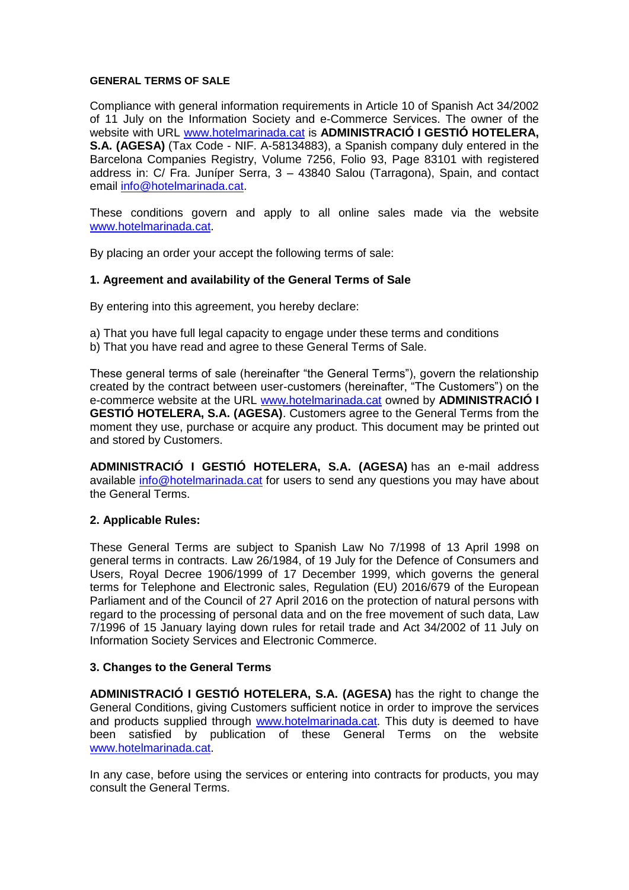#### **GENERAL TERMS OF SALE**

Compliance with general information requirements in Article 10 of Spanish Act 34/2002 of 11 July on the Information Society and e-Commerce Services. The owner of the website with URL [www.hotelmarinada.cat](http://www.hotelmarinada.cat/) is **ADMINISTRACIÓ I GESTIÓ HOTELERA, S.A. (AGESA)** (Tax Code - NIF. A-58134883), a Spanish company duly entered in the Barcelona Companies Registry, Volume 7256, Folio 93, Page 83101 with registered address in: C/ Fra. Juníper Serra, 3 – 43840 Salou (Tarragona), Spain, and contact email [info@hotelmarinada.cat.](mailto:info@hotelmarinada.cat)

These conditions govern and apply to all online sales made via the website [www.hotelmarinada.cat.](http://www.hotelmarinada.cat/)

By placing an order your accept the following terms of sale:

### **1. Agreement and availability of the General Terms of Sale**

By entering into this agreement, you hereby declare:

- a) That you have full legal capacity to engage under these terms and conditions
- b) That you have read and agree to these General Terms of Sale.

These general terms of sale (hereinafter "the General Terms"), govern the relationship created by the contract between user-customers (hereinafter, "The Customers") on the e-commerce website at the URL [www.hotelmarinada.cat](http://www.hotelmarinada.cat/) owned by **ADMINISTRACIÓ I GESTIÓ HOTELERA, S.A. (AGESA)**. Customers agree to the General Terms from the moment they use, purchase or acquire any product. This document may be printed out and stored by Customers.

**ADMINISTRACIÓ I GESTIÓ HOTELERA, S.A. (AGESA)** has an e-mail address available [info@hotelmarinada.cat](file:///C:/Users/Valeria/AppData/AppData/Local/Temp/info@hotelmarinada.cat) for users to send any questions you may have about the General Terms.

#### **2. Applicable Rules:**

These General Terms are subject to Spanish Law No 7/1998 of 13 April 1998 on general terms in contracts. Law 26/1984, of 19 July for the Defence of Consumers and Users, Royal Decree 1906/1999 of 17 December 1999, which governs the general terms for Telephone and Electronic sales, Regulation (EU) 2016/679 of the European Parliament and of the Council of 27 April 2016 on the protection of natural persons with regard to the processing of personal data and on the free movement of such data, Law 7/1996 of 15 January laying down rules for retail trade and Act 34/2002 of 11 July on Information Society Services and Electronic Commerce.

### **3. Changes to the General Terms**

**ADMINISTRACIÓ I GESTIÓ HOTELERA, S.A. (AGESA)** has the right to change the General Conditions, giving Customers sufficient notice in order to improve the services and products supplied through [www.hotelmarinada.cat.](http://www.hotelmarinada.cat/) This duty is deemed to have been satisfied by publication of these General Terms on the website [www.hotelmarinada.cat.](http://www.hotelmarinada.cat/)

In any case, before using the services or entering into contracts for products, you may consult the General Terms.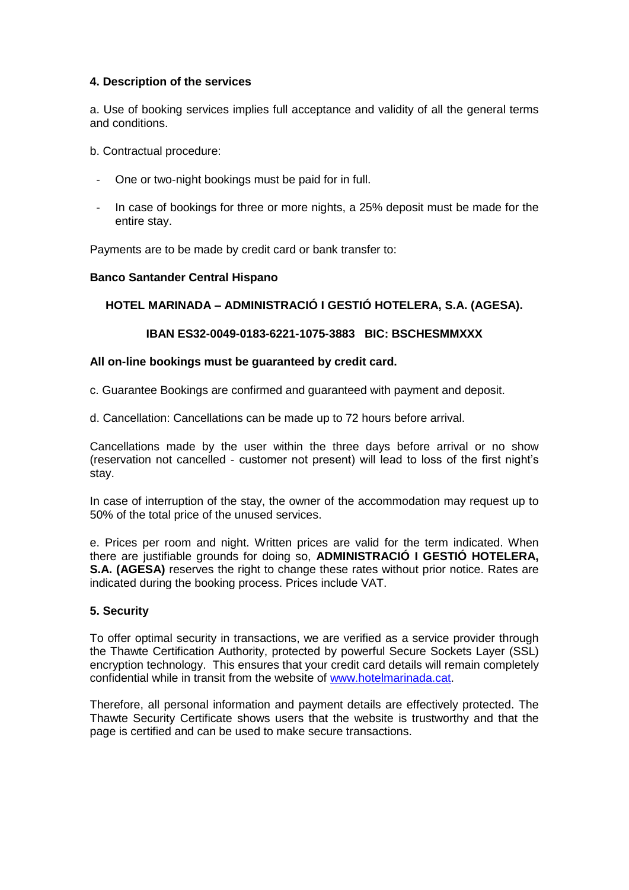### **4. Description of the services**

a. Use of booking services implies full acceptance and validity of all the general terms and conditions.

b. Contractual procedure:

- One or two-night bookings must be paid for in full.
- In case of bookings for three or more nights, a 25% deposit must be made for the entire stay.

Payments are to be made by credit card or bank transfer to:

## **Banco Santander Central Hispano**

## **HOTEL MARINADA – ADMINISTRACIÓ I GESTIÓ HOTELERA, S.A. (AGESA).**

## **IBAN ES32-0049-0183-6221-1075-3883 BIC: BSCHESMMXXX**

### **All on-line bookings must be guaranteed by credit card.**

c. Guarantee Bookings are confirmed and guaranteed with payment and deposit.

d. Cancellation: Cancellations can be made up to 72 hours before arrival.

Cancellations made by the user within the three days before arrival or no show (reservation not cancelled - customer not present) will lead to loss of the first night's stay.

In case of interruption of the stay, the owner of the accommodation may request up to 50% of the total price of the unused services.

e. Prices per room and night. Written prices are valid for the term indicated. When there are justifiable grounds for doing so, **ADMINISTRACIÓ I GESTIÓ HOTELERA, S.A. (AGESA)** reserves the right to change these rates without prior notice. Rates are indicated during the booking process. Prices include VAT.

### **5. Security**

To offer optimal security in transactions, we are verified as a service provider through the Thawte Certification Authority, protected by powerful Secure Sockets Layer (SSL) encryption technology. This ensures that your credit card details will remain completely confidential while in transit from the website of [www.hotelmarinada.cat.](http://www.hotelmarinada.cat/)

Therefore, all personal information and payment details are effectively protected. The Thawte Security Certificate shows users that the website is trustworthy and that the page is certified and can be used to make secure transactions.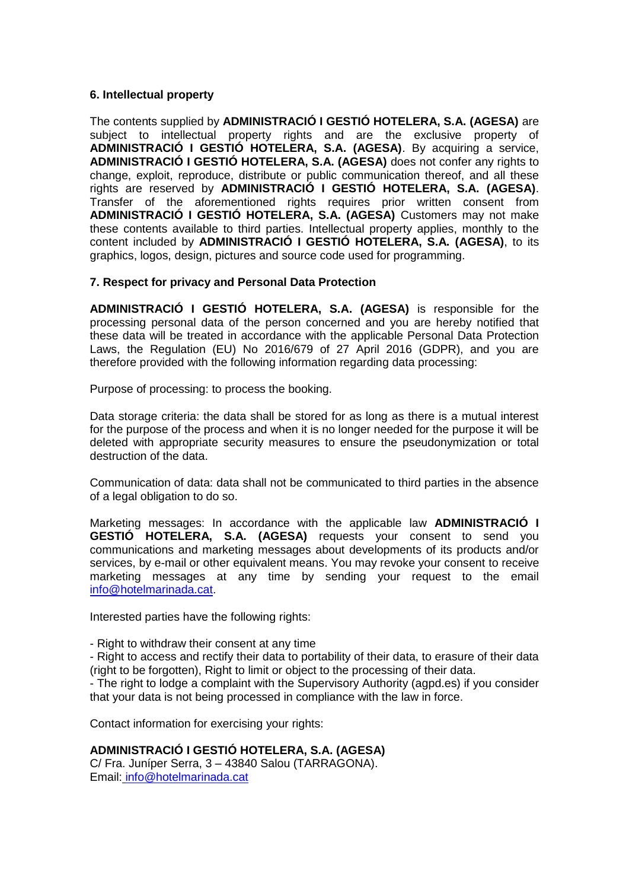#### **6. Intellectual property**

The contents supplied by **ADMINISTRACIÓ I GESTIÓ HOTELERA, S.A. (AGESA)** are subject to intellectual property rights and are the exclusive property of **ADMINISTRACIÓ I GESTIÓ HOTELERA, S.A. (AGESA)**. By acquiring a service, **ADMINISTRACIÓ I GESTIÓ HOTELERA, S.A. (AGESA)** does not confer any rights to change, exploit, reproduce, distribute or public communication thereof, and all these rights are reserved by **ADMINISTRACIÓ I GESTIÓ HOTELERA, S.A. (AGESA)**. Transfer of the aforementioned rights requires prior written consent from **ADMINISTRACIÓ I GESTIÓ HOTELERA, S.A. (AGESA)** Customers may not make these contents available to third parties. Intellectual property applies, monthly to the content included by **ADMINISTRACIÓ I GESTIÓ HOTELERA, S.A. (AGESA)**, to its graphics, logos, design, pictures and source code used for programming.

### **7. Respect for privacy and Personal Data Protection**

**ADMINISTRACIÓ I GESTIÓ HOTELERA, S.A. (AGESA)** is responsible for the processing personal data of the person concerned and you are hereby notified that these data will be treated in accordance with the applicable Personal Data Protection Laws, the Regulation (EU) No 2016/679 of 27 April 2016 (GDPR), and you are therefore provided with the following information regarding data processing:

Purpose of processing: to process the booking.

Data storage criteria: the data shall be stored for as long as there is a mutual interest for the purpose of the process and when it is no longer needed for the purpose it will be deleted with appropriate security measures to ensure the pseudonymization or total destruction of the data.

Communication of data: data shall not be communicated to third parties in the absence of a legal obligation to do so.

Marketing messages: In accordance with the applicable law **ADMINISTRACIÓ I GESTIÓ HOTELERA, S.A. (AGESA)** requests your consent to send you communications and marketing messages about developments of its products and/or services, by e-mail or other equivalent means. You may revoke your consent to receive marketing messages at any time by sending your request to the email [info@hotelmarinada.cat.](file:///C:/Users/Valeria/AppData/AppData/Local/Temp/info@hotelmarinada.cat)

Interested parties have the following rights:

- Right to withdraw their consent at any time
- Right to access and rectify their data to portability of their data, to erasure of their data (right to be forgotten), Right to limit or object to the processing of their data.

- The right to lodge a complaint with the Supervisory Authority (agpd.es) if you consider that your data is not being processed in compliance with the law in force.

Contact information for exercising your rights:

# **ADMINISTRACIÓ I GESTIÓ HOTELERA, S.A. (AGESA)**

C/ Fra. Juníper Serra, 3 – 43840 Salou (TARRAGONA). Email: [info@hotelmarinada.cat](file:///C:/Users/Valeria/AppData/AppData/Local/Temp/info@hotelmarinada.cat)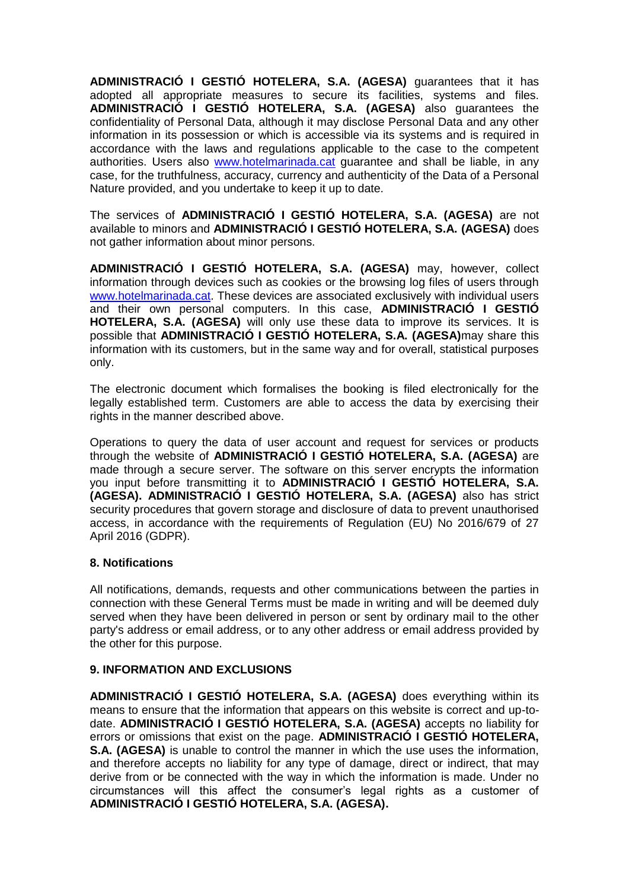**ADMINISTRACIÓ I GESTIÓ HOTELERA, S.A. (AGESA)** guarantees that it has adopted all appropriate measures to secure its facilities, systems and files. **ADMINISTRACIÓ I GESTIÓ HOTELERA, S.A. (AGESA)** also guarantees the confidentiality of Personal Data, although it may disclose Personal Data and any other information in its possession or which is accessible via its systems and is required in accordance with the laws and regulations applicable to the case to the competent authorities. Users also [www.hotelmarinada.cat](http://www.hotelmarinada.cat/) guarantee and shall be liable, in any case, for the truthfulness, accuracy, currency and authenticity of the Data of a Personal Nature provided, and you undertake to keep it up to date.

The services of **ADMINISTRACIÓ I GESTIÓ HOTELERA, S.A. (AGESA)** are not available to minors and **ADMINISTRACIÓ I GESTIÓ HOTELERA, S.A. (AGESA)** does not gather information about minor persons.

**ADMINISTRACIÓ I GESTIÓ HOTELERA, S.A. (AGESA)** may, however, collect information through devices such as cookies or the browsing log files of users through [www.hotelmarinada.cat.](http://www.hotelmarinada.cat/) These devices are associated exclusively with individual users and their own personal computers. In this case, **ADMINISTRACIÓ I GESTIÓ HOTELERA, S.A. (AGESA)** will only use these data to improve its services. It is possible that **ADMINISTRACIÓ I GESTIÓ HOTELERA, S.A. (AGESA)**may share this information with its customers, but in the same way and for overall, statistical purposes only.

The electronic document which formalises the booking is filed electronically for the legally established term. Customers are able to access the data by exercising their rights in the manner described above.

Operations to query the data of user account and request for services or products through the website of **ADMINISTRACIÓ I GESTIÓ HOTELERA, S.A. (AGESA)** are made through a secure server. The software on this server encrypts the information you input before transmitting it to **ADMINISTRACIÓ I GESTIÓ HOTELERA, S.A. (AGESA). ADMINISTRACIÓ I GESTIÓ HOTELERA, S.A. (AGESA)** also has strict security procedures that govern storage and disclosure of data to prevent unauthorised access, in accordance with the requirements of Regulation (EU) No 2016/679 of 27 April 2016 (GDPR).

### **8. Notifications**

All notifications, demands, requests and other communications between the parties in connection with these General Terms must be made in writing and will be deemed duly served when they have been delivered in person or sent by ordinary mail to the other party's address or email address, or to any other address or email address provided by the other for this purpose.

### **9. INFORMATION AND EXCLUSIONS**

**ADMINISTRACIÓ I GESTIÓ HOTELERA, S.A. (AGESA)** does everything within its means to ensure that the information that appears on this website is correct and up-todate. **ADMINISTRACIÓ I GESTIÓ HOTELERA, S.A. (AGESA)** accepts no liability for errors or omissions that exist on the page. **ADMINISTRACIÓ I GESTIÓ HOTELERA, S.A. (AGESA)** is unable to control the manner in which the use uses the information, and therefore accepts no liability for any type of damage, direct or indirect, that may derive from or be connected with the way in which the information is made. Under no circumstances will this affect the consumer's legal rights as a customer of **ADMINISTRACIÓ I GESTIÓ HOTELERA, S.A. (AGESA).**